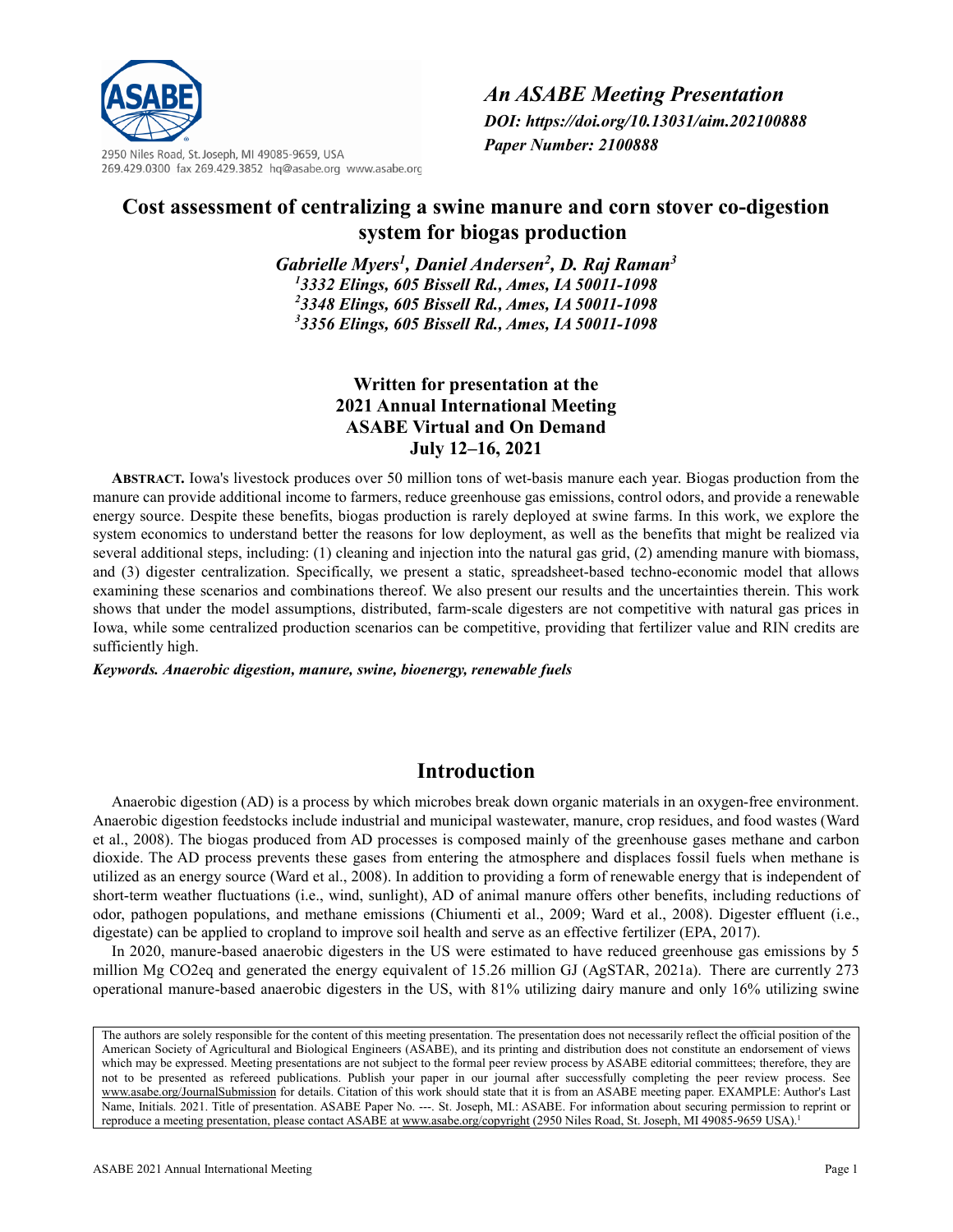

2950 Niles Road, St. Joseph, MI 49085-9659, USA 269.429.0300 fax 269.429.3852 hq@asabe.org www.asabe.org *An ASABE Meeting Presentation DOI: https://doi.org/10.13031/aim.202100888 Paper Number: 2100888*

# **Cost assessment of centralizing a swine manure and corn stover co-digestion system for biogas production**

*Gabrielle Myers1, Daniel Andersen2 , D. Raj Raman3 3332 Elings, 605 Bissell Rd., Ames, IA 50011-1098 3348 Elings, 605 Bissell Rd., Ames, IA 50011-1098 3356 Elings, 605 Bissell Rd., Ames, IA 50011-1098*

# **Written for presentation at the 2021 Annual International Meeting ASABE Virtual and On Demand July 12–16, 2021**

**ABSTRACT.** Iowa's livestock produces over 50 million tons of wet-basis manure each year. Biogas production from the manure can provide additional income to farmers, reduce greenhouse gas emissions, control odors, and provide a renewable energy source. Despite these benefits, biogas production is rarely deployed at swine farms. In this work, we explore the system economics to understand better the reasons for low deployment, as well as the benefits that might be realized via several additional steps, including: (1) cleaning and injection into the natural gas grid, (2) amending manure with biomass, and (3) digester centralization. Specifically, we present a static, spreadsheet-based techno-economic model that allows examining these scenarios and combinations thereof. We also present our results and the uncertainties therein. This work shows that under the model assumptions, distributed, farm-scale digesters are not competitive with natural gas prices in Iowa, while some centralized production scenarios can be competitive, providing that fertilizer value and RIN credits are sufficiently high.

*Keywords. Anaerobic digestion, manure, swine, bioenergy, renewable fuels*

# **Introduction**

Anaerobic digestion (AD) is a process by which microbes break down organic materials in an oxygen-free environment. Anaerobic digestion feedstocks include industrial and municipal wastewater, manure, crop residues, and food wastes (Ward et al., 2008). The biogas produced from AD processes is composed mainly of the greenhouse gases methane and carbon dioxide. The AD process prevents these gases from entering the atmosphere and displaces fossil fuels when methane is utilized as an energy source (Ward et al., 2008). In addition to providing a form of renewable energy that is independent of short-term weather fluctuations (i.e., wind, sunlight), AD of animal manure offers other benefits, including reductions of odor, pathogen populations, and methane emissions (Chiumenti et al., 2009; Ward et al., 2008). Digester effluent (i.e., digestate) can be applied to cropland to improve soil health and serve as an effective fertilizer (EPA, 2017).

In 2020, manure-based anaerobic digesters in the US were estimated to have reduced greenhouse gas emissions by 5 million Mg CO2eq and generated the energy equivalent of 15.26 million GJ (AgSTAR, 2021a). There are currently 273 operational manure-based anaerobic digesters in the US, with 81% utilizing dairy manure and only 16% utilizing swine

The authors are solely responsible for the content of this meeting presentation. The presentation does not necessarily reflect the official position of the American Society of Agricultural and Biological Engineers (ASABE), and its printing and distribution does not constitute an endorsement of views which may be expressed. Meeting presentations are not subject to the formal peer review process by ASABE editorial committees; therefore, they are not to be presented as refereed publications. Publish your paper in our journal after successfully completing the peer review process. See [www.asabe.org/JournalSubmission](http://www.asabe.org/JournalSubmission) for details. Citation of this work should state that it is from an ASABE meeting paper. EXAMPLE: Author's Last Name, Initials. 2021. Title of presentation. ASABE Paper No. ---. St. Joseph, MI.: ASABE. For information about securing permission to reprint or reproduce a meeting presentation, please contact ASABE a[t www.asabe.org/copyright](http://www.asabe.org/copyright) (2950 Niles Road, St. Joseph, MI 49085-9659 USA).<sup>1</sup>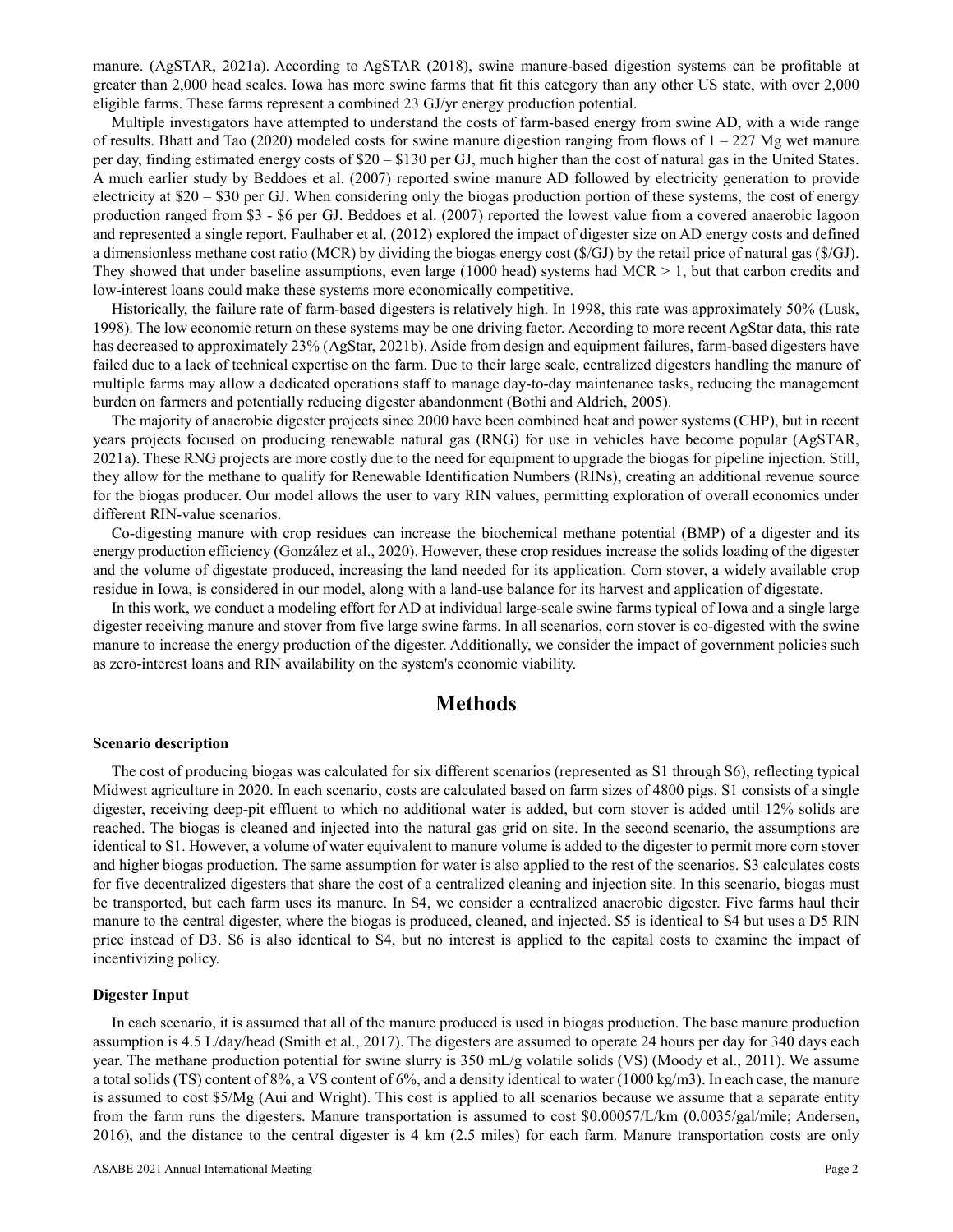manure. (AgSTAR, 2021a). According to AgSTAR (2018), swine manure-based digestion systems can be profitable at greater than 2,000 head scales. Iowa has more swine farms that fit this category than any other US state, with over 2,000 eligible farms. These farms represent a combined 23 GJ/yr energy production potential.

Multiple investigators have attempted to understand the costs of farm-based energy from swine AD, with a wide range of results. Bhatt and Tao (2020) modeled costs for swine manure digestion ranging from flows of  $1 - 227$  Mg wet manure per day, finding estimated energy costs of \$20 – \$130 per GJ, much higher than the cost of natural gas in the United States. A much earlier study by Beddoes et al. (2007) reported swine manure AD followed by electricity generation to provide electricity at \$20 – \$30 per GJ. When considering only the biogas production portion of these systems, the cost of energy production ranged from \$3 - \$6 per GJ. Beddoes et al. (2007) reported the lowest value from a covered anaerobic lagoon and represented a single report. Faulhaber et al. (2012) explored the impact of digester size on AD energy costs and defined a dimensionless methane cost ratio (MCR) by dividing the biogas energy cost (\$/GJ) by the retail price of natural gas (\$/GJ). They showed that under baseline assumptions, even large (1000 head) systems had MCR  $> 1$ , but that carbon credits and low-interest loans could make these systems more economically competitive.

Historically, the failure rate of farm-based digesters is relatively high. In 1998, this rate was approximately 50% (Lusk, 1998). The low economic return on these systems may be one driving factor. According to more recent AgStar data, this rate has decreased to approximately 23% (AgStar, 2021b). Aside from design and equipment failures, farm-based digesters have failed due to a lack of technical expertise on the farm. Due to their large scale, centralized digesters handling the manure of multiple farms may allow a dedicated operations staff to manage day-to-day maintenance tasks, reducing the management burden on farmers and potentially reducing digester abandonment (Bothi and Aldrich, 2005).

The majority of anaerobic digester projects since 2000 have been combined heat and power systems (CHP), but in recent years projects focused on producing renewable natural gas (RNG) for use in vehicles have become popular (AgSTAR, 2021a). These RNG projects are more costly due to the need for equipment to upgrade the biogas for pipeline injection. Still, they allow for the methane to qualify for Renewable Identification Numbers (RINs), creating an additional revenue source for the biogas producer. Our model allows the user to vary RIN values, permitting exploration of overall economics under different RIN-value scenarios.

Co-digesting manure with crop residues can increase the biochemical methane potential (BMP) of a digester and its energy production efficiency (González et al., 2020). However, these crop residues increase the solids loading of the digester and the volume of digestate produced, increasing the land needed for its application. Corn stover, a widely available crop residue in Iowa, is considered in our model, along with a land-use balance for its harvest and application of digestate.

In this work, we conduct a modeling effort for AD at individual large-scale swine farms typical of Iowa and a single large digester receiving manure and stover from five large swine farms. In all scenarios, corn stover is co-digested with the swine manure to increase the energy production of the digester. Additionally, we consider the impact of government policies such as zero-interest loans and RIN availability on the system's economic viability.

# **Methods**

### **Scenario description**

The cost of producing biogas was calculated for six different scenarios (represented as S1 through S6), reflecting typical Midwest agriculture in 2020. In each scenario, costs are calculated based on farm sizes of 4800 pigs. S1 consists of a single digester, receiving deep-pit effluent to which no additional water is added, but corn stover is added until 12% solids are reached. The biogas is cleaned and injected into the natural gas grid on site. In the second scenario, the assumptions are identical to S1. However, a volume of water equivalent to manure volume is added to the digester to permit more corn stover and higher biogas production. The same assumption for water is also applied to the rest of the scenarios. S3 calculates costs for five decentralized digesters that share the cost of a centralized cleaning and injection site. In this scenario, biogas must be transported, but each farm uses its manure. In S4, we consider a centralized anaerobic digester. Five farms haul their manure to the central digester, where the biogas is produced, cleaned, and injected. S5 is identical to S4 but uses a D5 RIN price instead of D3. S6 is also identical to S4, but no interest is applied to the capital costs to examine the impact of incentivizing policy.

### **Digester Input**

In each scenario, it is assumed that all of the manure produced is used in biogas production. The base manure production assumption is 4.5 L/day/head (Smith et al., 2017). The digesters are assumed to operate 24 hours per day for 340 days each year. The methane production potential for swine slurry is 350 mL/g volatile solids (VS) (Moody et al., 2011). We assume a total solids (TS) content of 8%, a VS content of 6%, and a density identical to water (1000 kg/m3). In each case, the manure is assumed to cost \$5/Mg (Aui and Wright). This cost is applied to all scenarios because we assume that a separate entity from the farm runs the digesters. Manure transportation is assumed to cost \$0.00057/L/km (0.0035/gal/mile; Andersen, 2016), and the distance to the central digester is 4 km (2.5 miles) for each farm. Manure transportation costs are only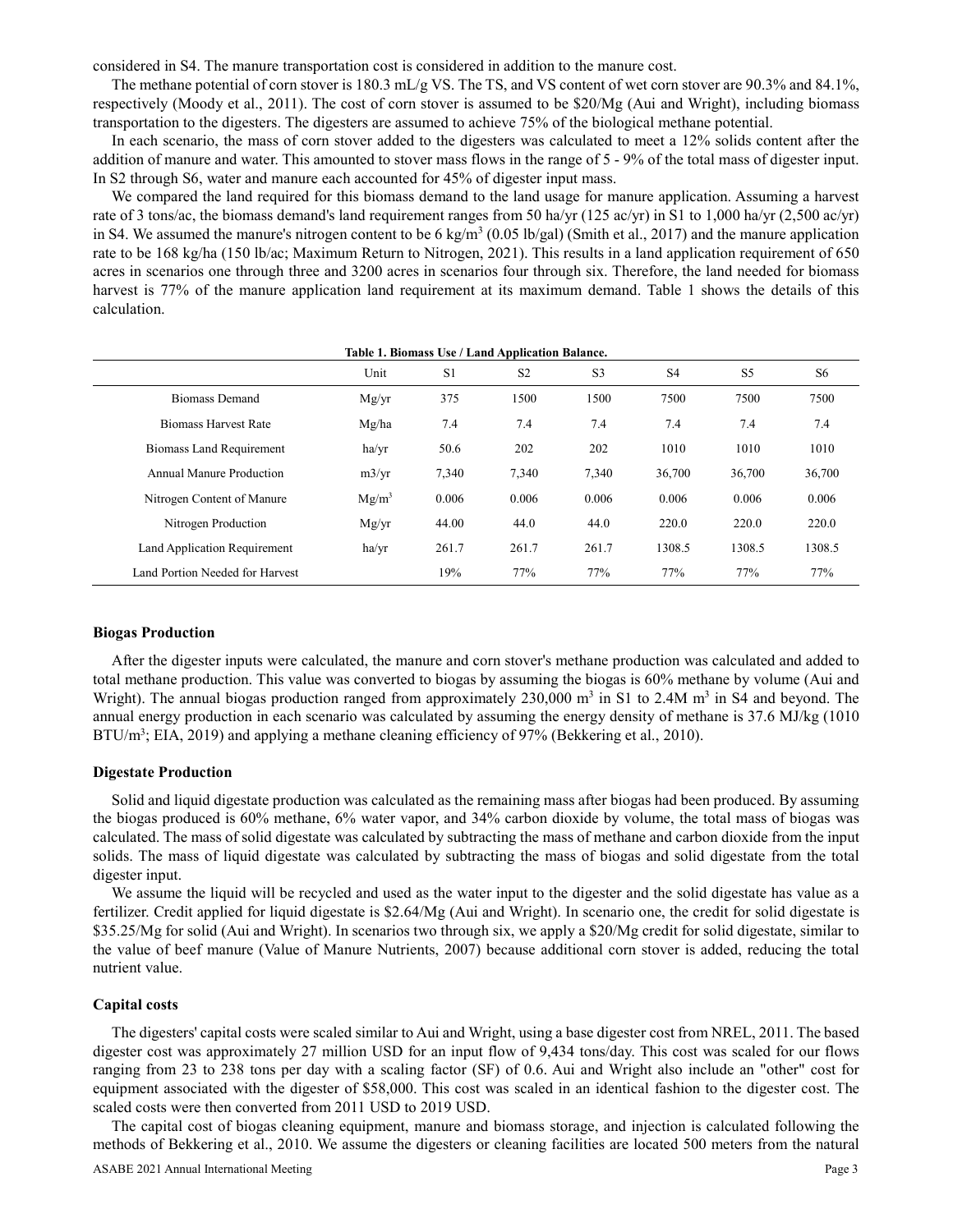considered in S4. The manure transportation cost is considered in addition to the manure cost.

The methane potential of corn stover is 180.3 mL/g VS. The TS, and VS content of wet corn stover are 90.3% and 84.1%, respectively (Moody et al., 2011). The cost of corn stover is assumed to be \$20/Mg (Aui and Wright), including biomass transportation to the digesters. The digesters are assumed to achieve 75% of the biological methane potential.

In each scenario, the mass of corn stover added to the digesters was calculated to meet a 12% solids content after the addition of manure and water. This amounted to stover mass flows in the range of 5 - 9% of the total mass of digester input. In S2 through S6, water and manure each accounted for 45% of digester input mass.

We compared the land required for this biomass demand to the land usage for manure application. Assuming a harvest rate of 3 tons/ac, the biomass demand's land requirement ranges from 50 ha/yr (125 ac/yr) in S1 to 1,000 ha/yr (2,500 ac/yr) in S4. We assumed the manure's nitrogen content to be 6 kg/m<sup>3</sup> (0.05 lb/gal) (Smith et al., 2017) and the manure application rate to be 168 kg/ha (150 lb/ac; Maximum Return to Nitrogen, 2021). This results in a land application requirement of 650 acres in scenarios one through three and 3200 acres in scenarios four through six. Therefore, the land needed for biomass harvest is 77% of the manure application land requirement at its maximum demand. Table 1 shows the details of this calculation.

|                                 | Unit     | S <sub>1</sub> | S <sub>2</sub> | S <sub>3</sub> | S <sub>4</sub> | S <sub>5</sub> | S <sub>6</sub> |
|---------------------------------|----------|----------------|----------------|----------------|----------------|----------------|----------------|
| <b>Biomass Demand</b>           | Mg/yr    | 375            | 1500           | 1500           | 7500           | 7500           | 7500           |
| <b>Biomass Harvest Rate</b>     | Mg/ha    | 7.4            | 7.4            | 7.4            | 7.4            | 7.4            | 7.4            |
| <b>Biomass Land Requirement</b> | ha/yr    | 50.6           | 202            | 202            | 1010           | 1010           | 1010           |
| Annual Manure Production        | m3/yr    | 7,340          | 7.340          | 7,340          | 36,700         | 36,700         | 36,700         |
| Nitrogen Content of Manure      | $Mg/m^3$ | 0.006          | 0.006          | 0.006          | 0.006          | 0.006          | 0.006          |
| Nitrogen Production             | Mg/yr    | 44.00          | 44.0           | 44.0           | 220.0          | 220.0          | 220.0          |
| Land Application Requirement    | ha/yr    | 261.7          | 261.7          | 261.7          | 1308.5         | 1308.5         | 1308.5         |
| Land Portion Needed for Harvest |          | 19%            | 77%            | 77%            | 77%            | 77%            | 77%            |

**Table 1. Biomass Use / Land Application Balance.**

### **Biogas Production**

After the digester inputs were calculated, the manure and corn stover's methane production was calculated and added to total methane production. This value was converted to biogas by assuming the biogas is 60% methane by volume (Aui and Wright). The annual biogas production ranged from approximately  $230,000$  m<sup>3</sup> in S1 to 2.4M m<sup>3</sup> in S4 and beyond. The annual energy production in each scenario was calculated by assuming the energy density of methane is 37.6 MJ/kg (1010 BTU/m<sup>3</sup>; EIA, 2019) and applying a methane cleaning efficiency of 97% (Bekkering et al., 2010).

## **Digestate Production**

Solid and liquid digestate production was calculated as the remaining mass after biogas had been produced. By assuming the biogas produced is 60% methane, 6% water vapor, and 34% carbon dioxide by volume, the total mass of biogas was calculated. The mass of solid digestate was calculated by subtracting the mass of methane and carbon dioxide from the input solids. The mass of liquid digestate was calculated by subtracting the mass of biogas and solid digestate from the total digester input.

We assume the liquid will be recycled and used as the water input to the digester and the solid digestate has value as a fertilizer. Credit applied for liquid digestate is \$2.64/Mg (Aui and Wright). In scenario one, the credit for solid digestate is \$35.25/Mg for solid (Aui and Wright). In scenarios two through six, we apply a \$20/Mg credit for solid digestate, similar to the value of beef manure (Value of Manure Nutrients, 2007) because additional corn stover is added, reducing the total nutrient value.

### **Capital costs**

The digesters' capital costs were scaled similar to Aui and Wright, using a base digester cost from NREL, 2011. The based digester cost was approximately 27 million USD for an input flow of 9,434 tons/day. This cost was scaled for our flows ranging from 23 to 238 tons per day with a scaling factor (SF) of 0.6. Aui and Wright also include an "other" cost for equipment associated with the digester of \$58,000. This cost was scaled in an identical fashion to the digester cost. The scaled costs were then converted from 2011 USD to 2019 USD.

The capital cost of biogas cleaning equipment, manure and biomass storage, and injection is calculated following the methods of Bekkering et al., 2010. We assume the digesters or cleaning facilities are located 500 meters from the natural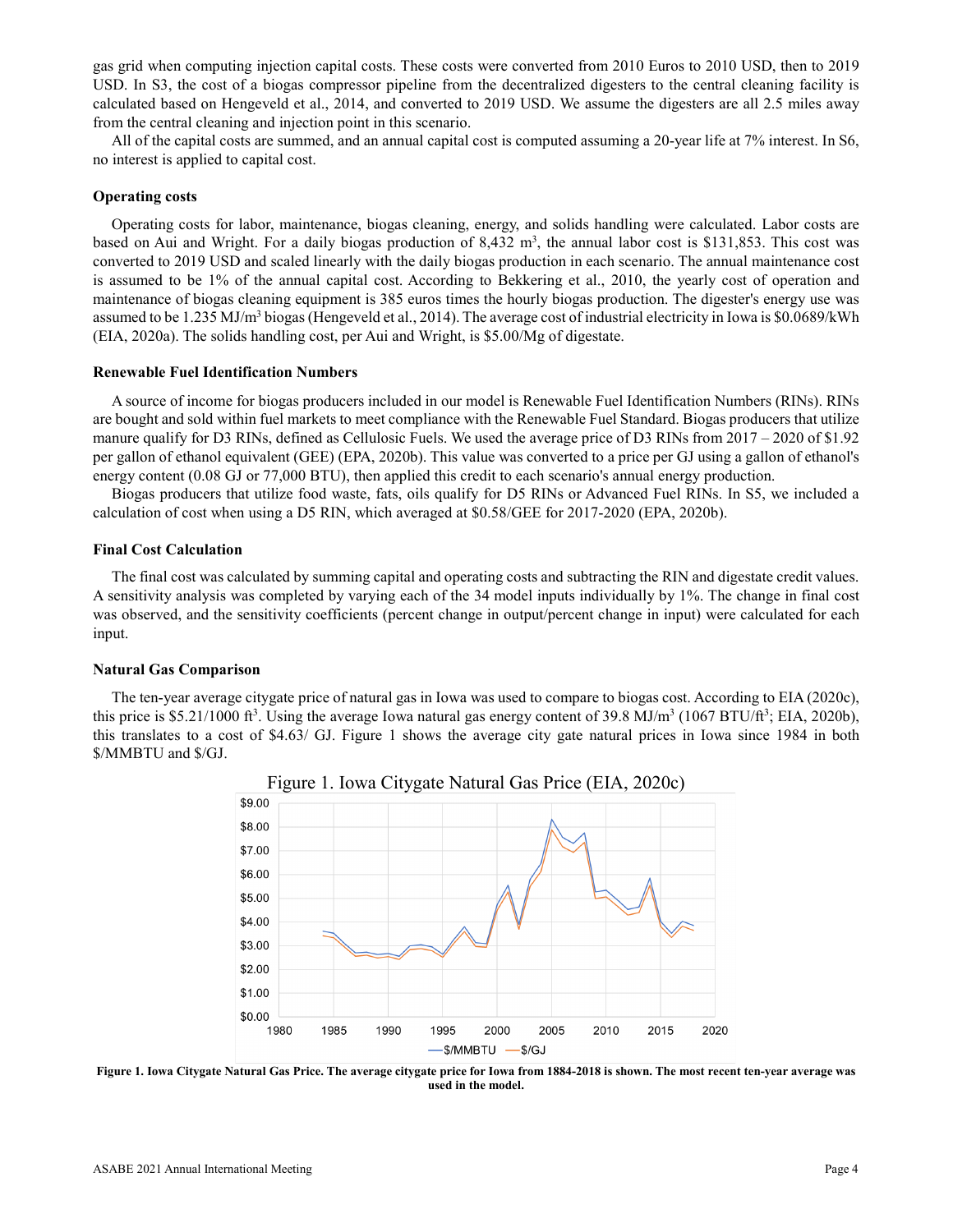gas grid when computing injection capital costs. These costs were converted from 2010 Euros to 2010 USD, then to 2019 USD. In S3, the cost of a biogas compressor pipeline from the decentralized digesters to the central cleaning facility is calculated based on Hengeveld et al., 2014, and converted to 2019 USD. We assume the digesters are all 2.5 miles away from the central cleaning and injection point in this scenario.

All of the capital costs are summed, and an annual capital cost is computed assuming a 20-year life at 7% interest. In S6, no interest is applied to capital cost.

### **Operating costs**

Operating costs for labor, maintenance, biogas cleaning, energy, and solids handling were calculated. Labor costs are based on Aui and Wright. For a daily biogas production of 8,432 m<sup>3</sup>, the annual labor cost is \$131,853. This cost was converted to 2019 USD and scaled linearly with the daily biogas production in each scenario. The annual maintenance cost is assumed to be 1% of the annual capital cost. According to Bekkering et al., 2010, the yearly cost of operation and maintenance of biogas cleaning equipment is 385 euros times the hourly biogas production. The digester's energy use was assumed to be 1.235 MJ/m<sup>3</sup> biogas (Hengeveld et al., 2014). The average cost of industrial electricity in Iowa is \$0.0689/kWh (EIA, 2020a). The solids handling cost, per Aui and Wright, is \$5.00/Mg of digestate.

### **Renewable Fuel Identification Numbers**

A source of income for biogas producers included in our model is Renewable Fuel Identification Numbers (RINs). RINs are bought and sold within fuel markets to meet compliance with the Renewable Fuel Standard. Biogas producers that utilize manure qualify for D3 RINs, defined as Cellulosic Fuels. We used the average price of D3 RINs from 2017 – 2020 of \$1.92 per gallon of ethanol equivalent (GEE) (EPA, 2020b). This value was converted to a price per GJ using a gallon of ethanol's energy content (0.08 GJ or 77,000 BTU), then applied this credit to each scenario's annual energy production.

Biogas producers that utilize food waste, fats, oils qualify for D5 RINs or Advanced Fuel RINs. In S5, we included a calculation of cost when using a D5 RIN, which averaged at \$0.58/GEE for 2017-2020 (EPA, 2020b).

### **Final Cost Calculation**

The final cost was calculated by summing capital and operating costs and subtracting the RIN and digestate credit values. A sensitivity analysis was completed by varying each of the 34 model inputs individually by 1%. The change in final cost was observed, and the sensitivity coefficients (percent change in output/percent change in input) were calculated for each input.

### **Natural Gas Comparison**

The ten-year average citygate price of natural gas in Iowa was used to compare to biogas cost. According to EIA (2020c), this price is \$5.21/1000 ft<sup>3</sup>. Using the average Iowa natural gas energy content of 39.8 MJ/m<sup>3</sup> (1067 BTU/ft<sup>3</sup>; EIA, 2020b), this translates to a cost of \$4.63/ GJ. Figure 1 shows the average city gate natural prices in Iowa since 1984 in both \$/MMBTU and \$/GJ.



**Figure 1. Iowa Citygate Natural Gas Price. The average citygate price for Iowa from 1884-2018 is shown. The most recent ten-year average was used in the model.**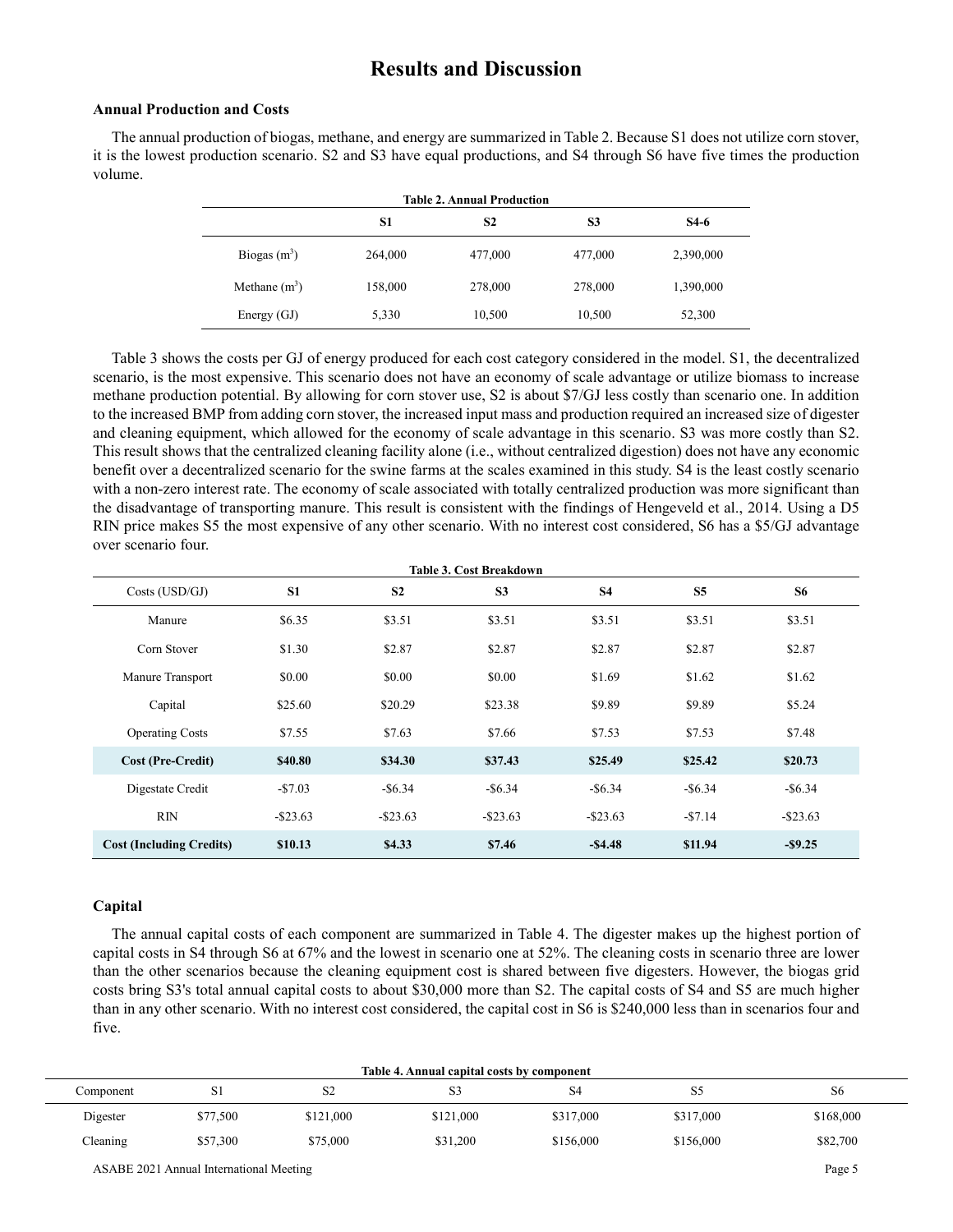# **Results and Discussion**

### **Annual Production and Costs**

The annual production of biogas, methane, and energy are summarized in Table 2. Because S1 does not utilize corn stover, it is the lowest production scenario. S2 and S3 have equal productions, and S4 through S6 have five times the production volume.

| <b>Table 2. Annual Production</b> |         |                |         |           |  |  |
|-----------------------------------|---------|----------------|---------|-----------|--|--|
|                                   | S1      | S <sub>2</sub> | S3      | $S4-6$    |  |  |
| Biogas $(m^3)$                    | 264,000 | 477,000        | 477,000 | 2,390,000 |  |  |
| Methane $(m^3)$                   | 158,000 | 278,000        | 278,000 | 1,390,000 |  |  |
| Energy $(GJ)$                     | 5,330   | 10,500         | 10,500  | 52,300    |  |  |

Table 3 shows the costs per GJ of energy produced for each cost category considered in the model. S1, the decentralized scenario, is the most expensive. This scenario does not have an economy of scale advantage or utilize biomass to increase methane production potential. By allowing for corn stover use, S2 is about \$7/GJ less costly than scenario one. In addition to the increased BMP from adding corn stover, the increased input mass and production required an increased size of digester and cleaning equipment, which allowed for the economy of scale advantage in this scenario. S3 was more costly than S2. This result shows that the centralized cleaning facility alone (i.e., without centralized digestion) does not have any economic benefit over a decentralized scenario for the swine farms at the scales examined in this study. S4 is the least costly scenario with a non-zero interest rate. The economy of scale associated with totally centralized production was more significant than the disadvantage of transporting manure. This result is consistent with the findings of Hengeveld et al., 2014. Using a D5 RIN price makes S5 the most expensive of any other scenario. With no interest cost considered, S6 has a \$5/GJ advantage over scenario four.

| <b>Table 3. Cost Breakdown</b>  |                |                |                |             |                |             |  |
|---------------------------------|----------------|----------------|----------------|-------------|----------------|-------------|--|
| Costs (USD/GJ)                  | S <sub>1</sub> | S <sub>2</sub> | S <sub>3</sub> | <b>S4</b>   | S <sub>5</sub> | <b>S6</b>   |  |
| Manure                          | \$6.35         | \$3.51         | \$3.51         | \$3.51      | \$3.51         | \$3.51      |  |
| Corn Stover                     | \$1.30         | \$2.87         | \$2.87         | \$2.87      | \$2.87         | \$2.87      |  |
| Manure Transport                | \$0.00         | \$0.00         | \$0.00         | \$1.69      | \$1.62         | \$1.62      |  |
| Capital                         | \$25.60        | \$20.29        | \$23.38        | \$9.89      | \$9.89         | \$5.24      |  |
| <b>Operating Costs</b>          | \$7.55         | \$7.63         | \$7.66         | \$7.53      | \$7.53         | \$7.48      |  |
| <b>Cost (Pre-Credit)</b>        | \$40.80        | \$34.30        | \$37.43        | \$25.49     | \$25.42        | \$20.73     |  |
| Digestate Credit                | $-$7.03$       | $-$ \$6.34     | $-$ \$6.34     | $-$ \$6.34  | $-$ \$6.34     | $-$ \$6.34  |  |
| <b>RIN</b>                      | $-$ \$23.63    | $-$ \$23.63    | $-$ \$23.63    | $-$ \$23.63 | $- $7.14$      | $-$ \$23.63 |  |
| <b>Cost (Including Credits)</b> | \$10.13        | \$4.33         | \$7.46         | $-$ \$4.48  | \$11.94        | $-$ \$9.25  |  |

## **Capital**

The annual capital costs of each component are summarized in Table 4. The digester makes up the highest portion of capital costs in S4 through S6 at 67% and the lowest in scenario one at 52%. The cleaning costs in scenario three are lower than the other scenarios because the cleaning equipment cost is shared between five digesters. However, the biogas grid costs bring S3's total annual capital costs to about \$30,000 more than S2. The capital costs of S4 and S5 are much higher than in any other scenario. With no interest cost considered, the capital cost in S6 is \$240,000 less than in scenarios four and five.

| Table 4. Annual capital costs by component |          |           |           |           |           |                |  |
|--------------------------------------------|----------|-----------|-----------|-----------|-----------|----------------|--|
| Component                                  | 51       | S2        | 33        | S4        | S5        | S <sub>6</sub> |  |
| Digester                                   | \$77,500 | \$121,000 | \$121,000 | \$317,000 | \$317,000 | \$168,000      |  |
| Cleaning                                   | \$57,300 | \$75,000  | \$31,200  | \$156,000 | \$156,000 | \$82,700       |  |

ASABE 2021 Annual International Meeting Page 5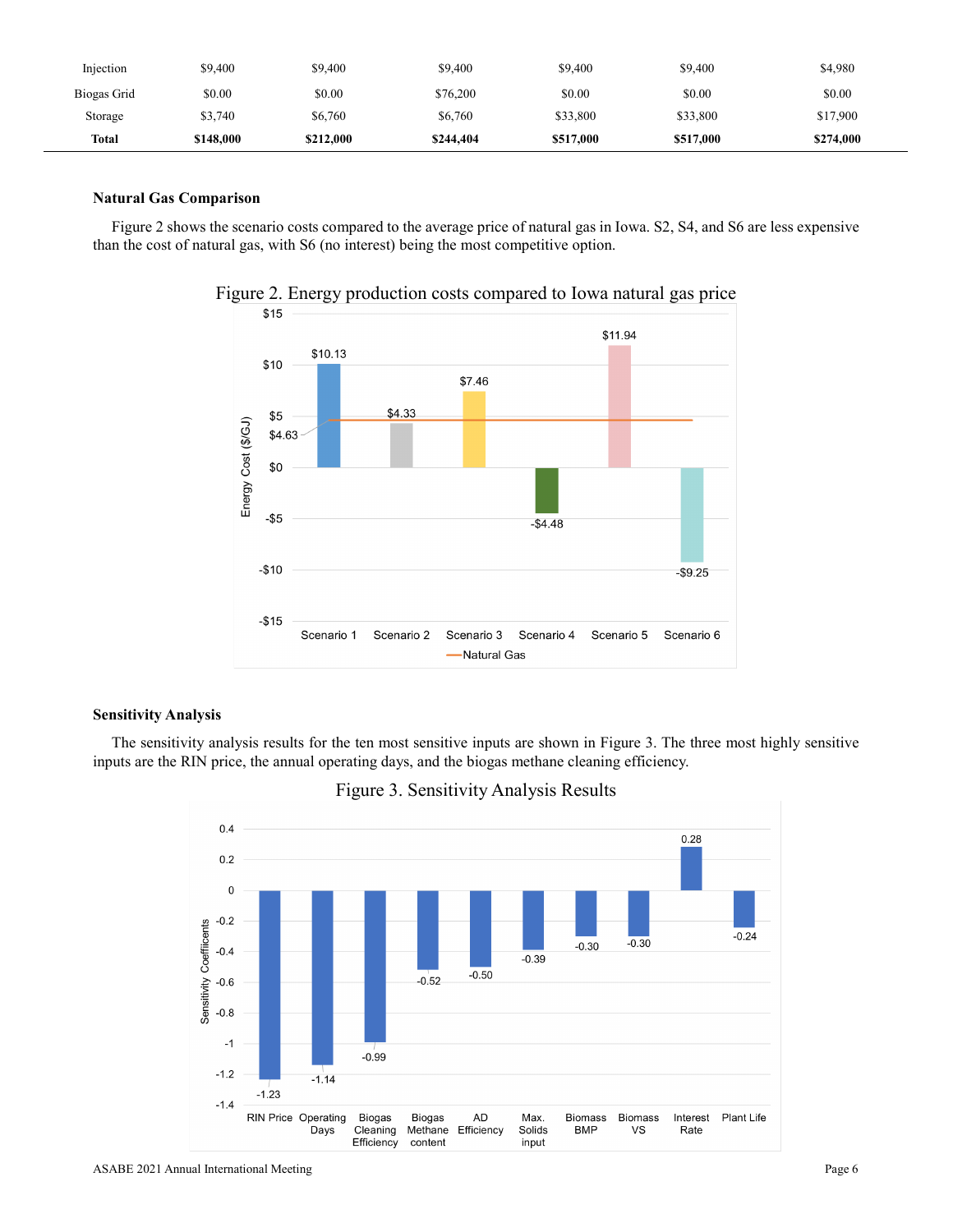| Injection    | \$9.400   | \$9,400   | \$9,400   | \$9,400   | \$9,400   | \$4,980   |
|--------------|-----------|-----------|-----------|-----------|-----------|-----------|
| Biogas Grid  | \$0.00    | \$0.00    | \$76,200  | \$0.00    | \$0.00    | \$0.00    |
| Storage      | \$3,740   | \$6,760   | \$6,760   | \$33,800  | \$33,800  | \$17,900  |
| <b>Total</b> | \$148,000 | \$212,000 | \$244,404 | \$517,000 | \$517,000 | \$274,000 |

# **Natural Gas Comparison**

Figure 2 shows the scenario costs compared to the average price of natural gas in Iowa. S2, S4, and S6 are less expensive than the cost of natural gas, with S6 (no interest) being the most competitive option.



Figure 2. Energy production costs compared to Iowa natural gas price

# **Sensitivity Analysis**

The sensitivity analysis results for the ten most sensitive inputs are shown in Figure 3. The three most highly sensitive inputs are the RIN price, the annual operating days, and the biogas methane cleaning efficiency.

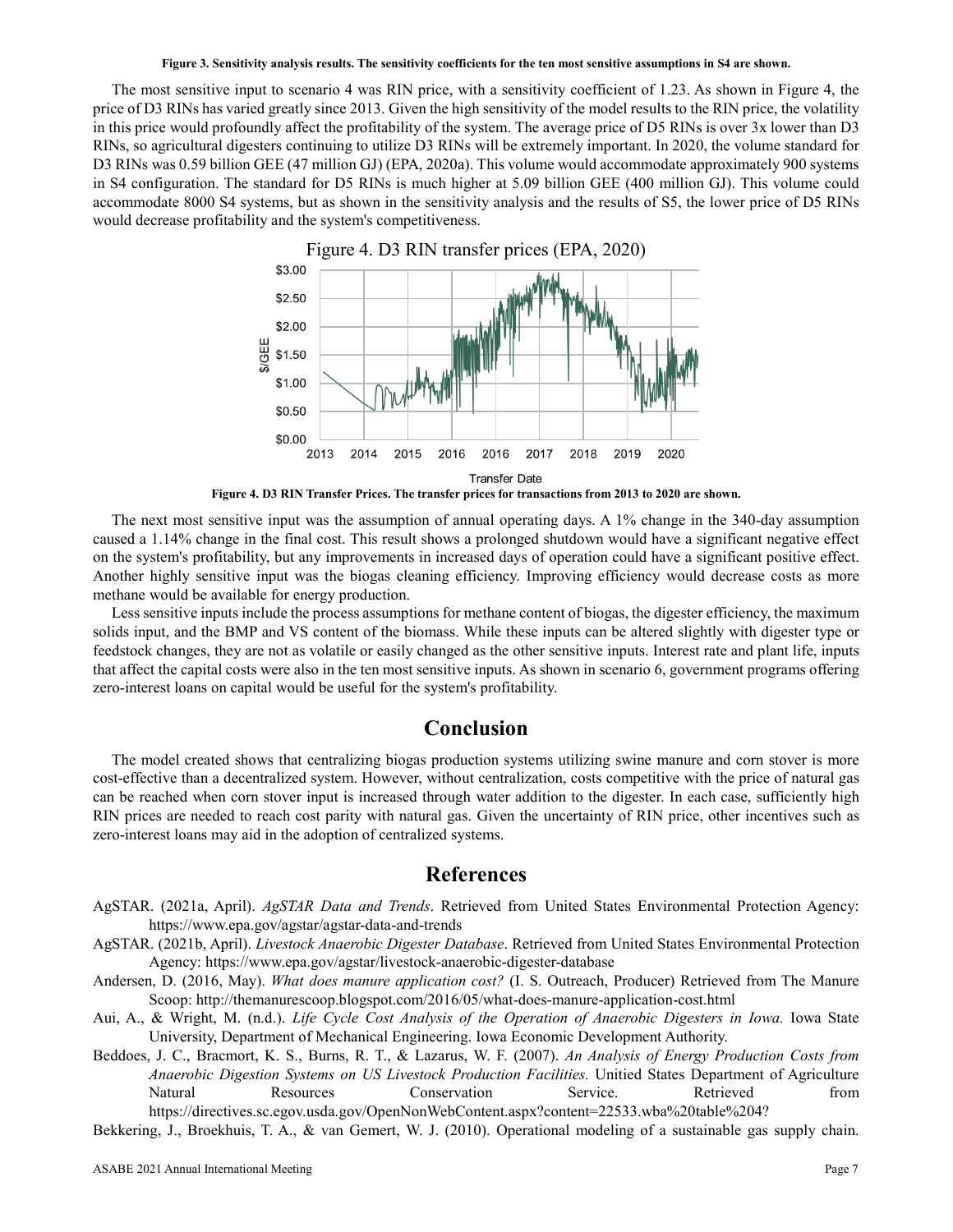#### **Figure 3. Sensitivity analysis results. The sensitivity coefficients for the ten most sensitive assumptions in S4 are shown.**

The most sensitive input to scenario 4 was RIN price, with a sensitivity coefficient of 1.23. As shown in Figure 4, the price of D3 RINs has varied greatly since 2013. Given the high sensitivity of the model results to the RIN price, the volatility in this price would profoundly affect the profitability of the system. The average price of D5 RINs is over 3x lower than D3 RINs, so agricultural digesters continuing to utilize D3 RINs will be extremely important. In 2020, the volume standard for D3 RINs was 0.59 billion GEE (47 million GJ) (EPA, 2020a). This volume would accommodate approximately 900 systems in S4 configuration. The standard for D5 RINs is much higher at 5.09 billion GEE (400 million GJ). This volume could accommodate 8000 S4 systems, but as shown in the sensitivity analysis and the results of S5, the lower price of D5 RINs would decrease profitability and the system's competitiveness.



**Figure 4. D3 RIN Transfer Prices. The transfer prices for transactions from 2013 to 2020 are shown.**

The next most sensitive input was the assumption of annual operating days. A 1% change in the 340-day assumption caused a 1.14% change in the final cost. This result shows a prolonged shutdown would have a significant negative effect on the system's profitability, but any improvements in increased days of operation could have a significant positive effect. Another highly sensitive input was the biogas cleaning efficiency. Improving efficiency would decrease costs as more methane would be available for energy production.

Less sensitive inputs include the process assumptions for methane content of biogas, the digester efficiency, the maximum solids input, and the BMP and VS content of the biomass. While these inputs can be altered slightly with digester type or feedstock changes, they are not as volatile or easily changed as the other sensitive inputs. Interest rate and plant life, inputs that affect the capital costs were also in the ten most sensitive inputs. As shown in scenario 6, government programs offering zero-interest loans on capital would be useful for the system's profitability.

# **Conclusion**

The model created shows that centralizing biogas production systems utilizing swine manure and corn stover is more cost-effective than a decentralized system. However, without centralization, costs competitive with the price of natural gas can be reached when corn stover input is increased through water addition to the digester. In each case, sufficiently high RIN prices are needed to reach cost parity with natural gas. Given the uncertainty of RIN price, other incentives such as zero-interest loans may aid in the adoption of centralized systems.

# **References**

- AgSTAR. (2021a, April). *AgSTAR Data and Trends*. Retrieved from United States Environmental Protection Agency: https://www.epa.gov/agstar/agstar-data-and-trends
- AgSTAR. (2021b, April). *Livestock Anaerobic Digester Database*. Retrieved from United States Environmental Protection Agency: https://www.epa.gov/agstar/livestock-anaerobic-digester-database
- Andersen, D. (2016, May). *What does manure application cost?* (I. S. Outreach, Producer) Retrieved from The Manure Scoop: http://themanurescoop.blogspot.com/2016/05/what-does-manure-application-cost.html
- Aui, A., & Wright, M. (n.d.). *Life Cycle Cost Analysis of the Operation of Anaerobic Digesters in Iowa.* Iowa State University, Department of Mechanical Engineering. Iowa Economic Development Authority.
- Beddoes, J. C., Bracmort, K. S., Burns, R. T., & Lazarus, W. F. (2007). *An Analysis of Energy Production Costs from Anaerobic Digestion Systems on US Livestock Production Facilities.* Unitied States Department of Agriculture Natural Resources Conservation Service. Retrieved from https://directives.sc.egov.usda.gov/OpenNonWebContent.aspx?content=22533.wba%20table%204?
- Bekkering, J., Broekhuis, T. A., & van Gemert, W. J. (2010). Operational modeling of a sustainable gas supply chain.